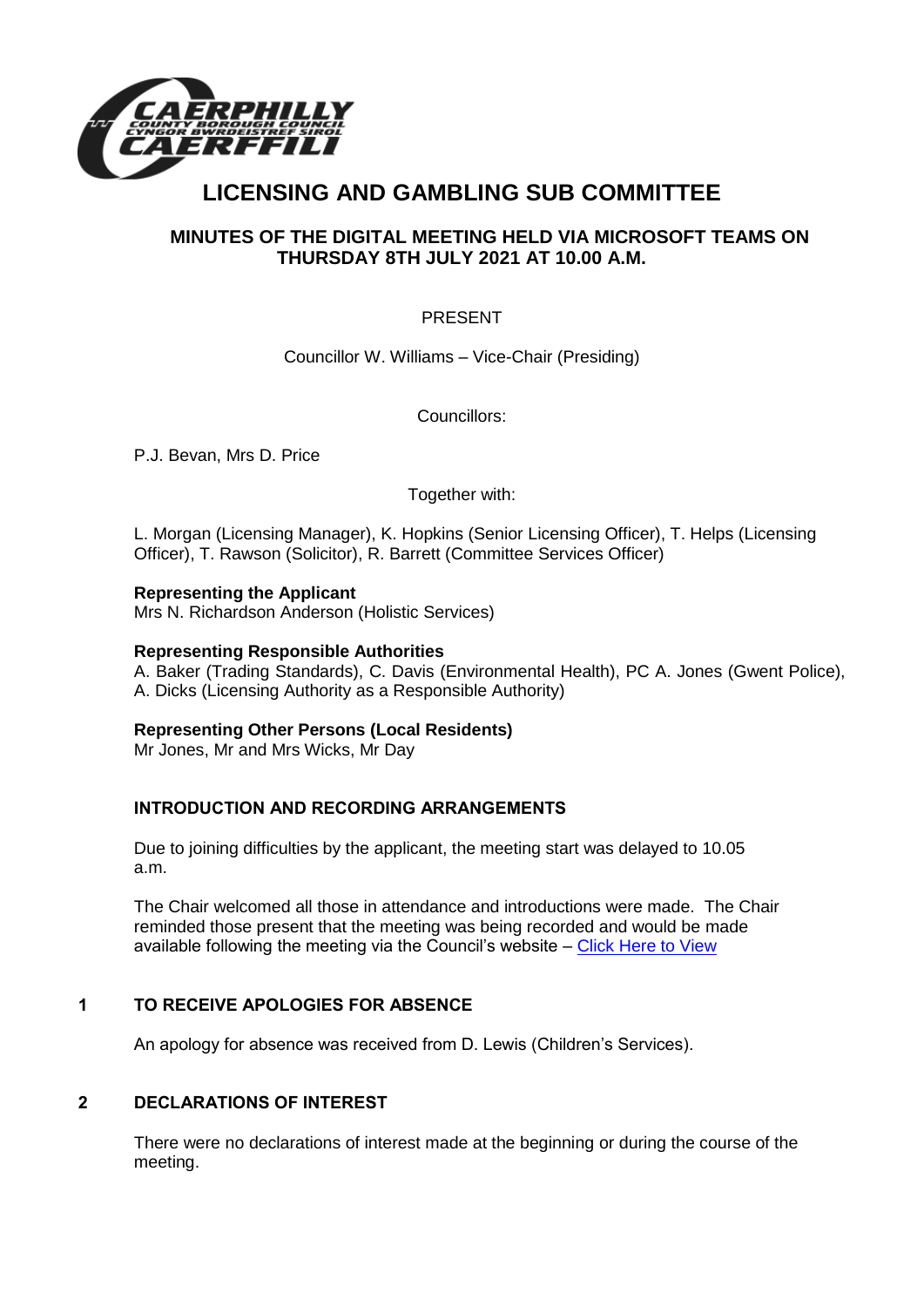

# **LICENSING AND GAMBLING SUB COMMITTEE**

# **MINUTES OF THE DIGITAL MEETING HELD VIA MICROSOFT TEAMS ON THURSDAY 8TH JULY 2021 AT 10.00 A.M.**

## PRESENT

Councillor W. Williams – Vice-Chair (Presiding)

Councillors:

P.J. Bevan, Mrs D. Price

Together with:

L. Morgan (Licensing Manager), K. Hopkins (Senior Licensing Officer), T. Helps (Licensing Officer), T. Rawson (Solicitor), R. Barrett (Committee Services Officer)

## **Representing the Applicant**

Mrs N. Richardson Anderson (Holistic Services)

#### **Representing Responsible Authorities**

A. Baker (Trading Standards), C. Davis (Environmental Health), PC A. Jones (Gwent Police), A. Dicks (Licensing Authority as a Responsible Authority)

## **Representing Other Persons (Local Residents)**

Mr Jones, Mr and Mrs Wicks, Mr Day

## **INTRODUCTION AND RECORDING ARRANGEMENTS**

Due to joining difficulties by the applicant, the meeting start was delayed to 10.05 a.m.

The Chair welcomed all those in attendance and introductions were made. The Chair reminded those present that the meeting was being recorded and would be made available following the meeting via the Council's website – [Click Here to View](https://www.caerphilly.gov.uk/My-Council/Meetings,-agendas,-minutes-and-reports/Council-meetings?lang=en-GB)

## **1 TO RECEIVE APOLOGIES FOR ABSENCE**

An apology for absence was received from D. Lewis (Children's Services).

## **2 DECLARATIONS OF INTEREST**

There were no declarations of interest made at the beginning or during the course of the meeting.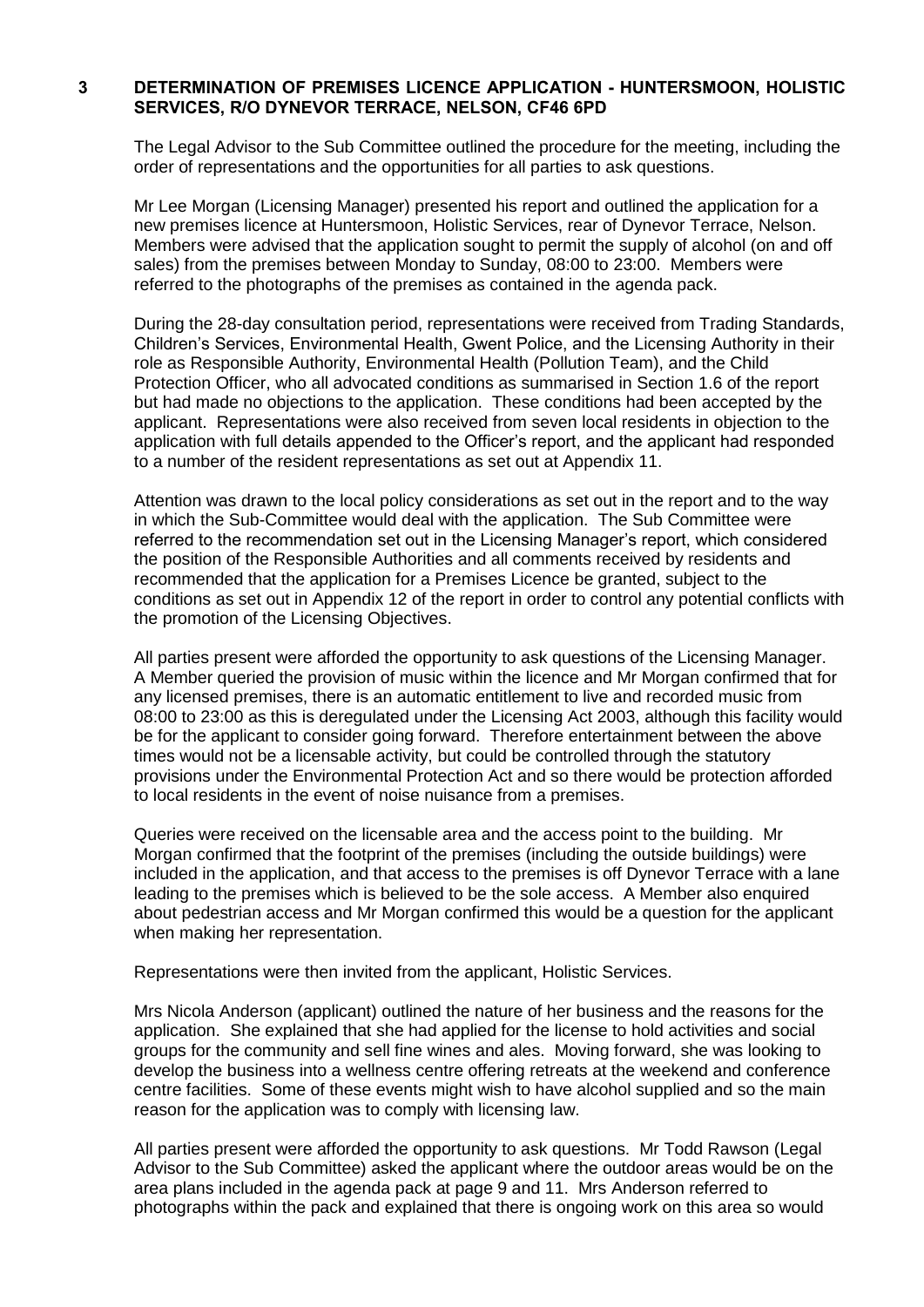#### **3 DETERMINATION OF PREMISES LICENCE APPLICATION - HUNTERSMOON, HOLISTIC SERVICES, R/O DYNEVOR TERRACE, NELSON, CF46 6PD**

The Legal Advisor to the Sub Committee outlined the procedure for the meeting, including the order of representations and the opportunities for all parties to ask questions.

Mr Lee Morgan (Licensing Manager) presented his report and outlined the application for a new premises licence at Huntersmoon, Holistic Services, rear of Dynevor Terrace, Nelson. Members were advised that the application sought to permit the supply of alcohol (on and off sales) from the premises between Monday to Sunday, 08:00 to 23:00. Members were referred to the photographs of the premises as contained in the agenda pack.

During the 28-day consultation period, representations were received from Trading Standards, Children's Services, Environmental Health, Gwent Police, and the Licensing Authority in their role as Responsible Authority, Environmental Health (Pollution Team), and the Child Protection Officer, who all advocated conditions as summarised in Section 1.6 of the report but had made no objections to the application. These conditions had been accepted by the applicant. Representations were also received from seven local residents in objection to the application with full details appended to the Officer's report, and the applicant had responded to a number of the resident representations as set out at Appendix 11.

Attention was drawn to the local policy considerations as set out in the report and to the way in which the Sub-Committee would deal with the application. The Sub Committee were referred to the recommendation set out in the Licensing Manager's report, which considered the position of the Responsible Authorities and all comments received by residents and recommended that the application for a Premises Licence be granted, subject to the conditions as set out in Appendix 12 of the report in order to control any potential conflicts with the promotion of the Licensing Objectives.

All parties present were afforded the opportunity to ask questions of the Licensing Manager. A Member queried the provision of music within the licence and Mr Morgan confirmed that for any licensed premises, there is an automatic entitlement to live and recorded music from 08:00 to 23:00 as this is deregulated under the Licensing Act 2003, although this facility would be for the applicant to consider going forward. Therefore entertainment between the above times would not be a licensable activity, but could be controlled through the statutory provisions under the Environmental Protection Act and so there would be protection afforded to local residents in the event of noise nuisance from a premises.

Queries were received on the licensable area and the access point to the building. Mr Morgan confirmed that the footprint of the premises (including the outside buildings) were included in the application, and that access to the premises is off Dynevor Terrace with a lane leading to the premises which is believed to be the sole access. A Member also enquired about pedestrian access and Mr Morgan confirmed this would be a question for the applicant when making her representation.

Representations were then invited from the applicant, Holistic Services.

Mrs Nicola Anderson (applicant) outlined the nature of her business and the reasons for the application. She explained that she had applied for the license to hold activities and social groups for the community and sell fine wines and ales. Moving forward, she was looking to develop the business into a wellness centre offering retreats at the weekend and conference centre facilities. Some of these events might wish to have alcohol supplied and so the main reason for the application was to comply with licensing law.

All parties present were afforded the opportunity to ask questions. Mr Todd Rawson (Legal Advisor to the Sub Committee) asked the applicant where the outdoor areas would be on the area plans included in the agenda pack at page 9 and 11. Mrs Anderson referred to photographs within the pack and explained that there is ongoing work on this area so would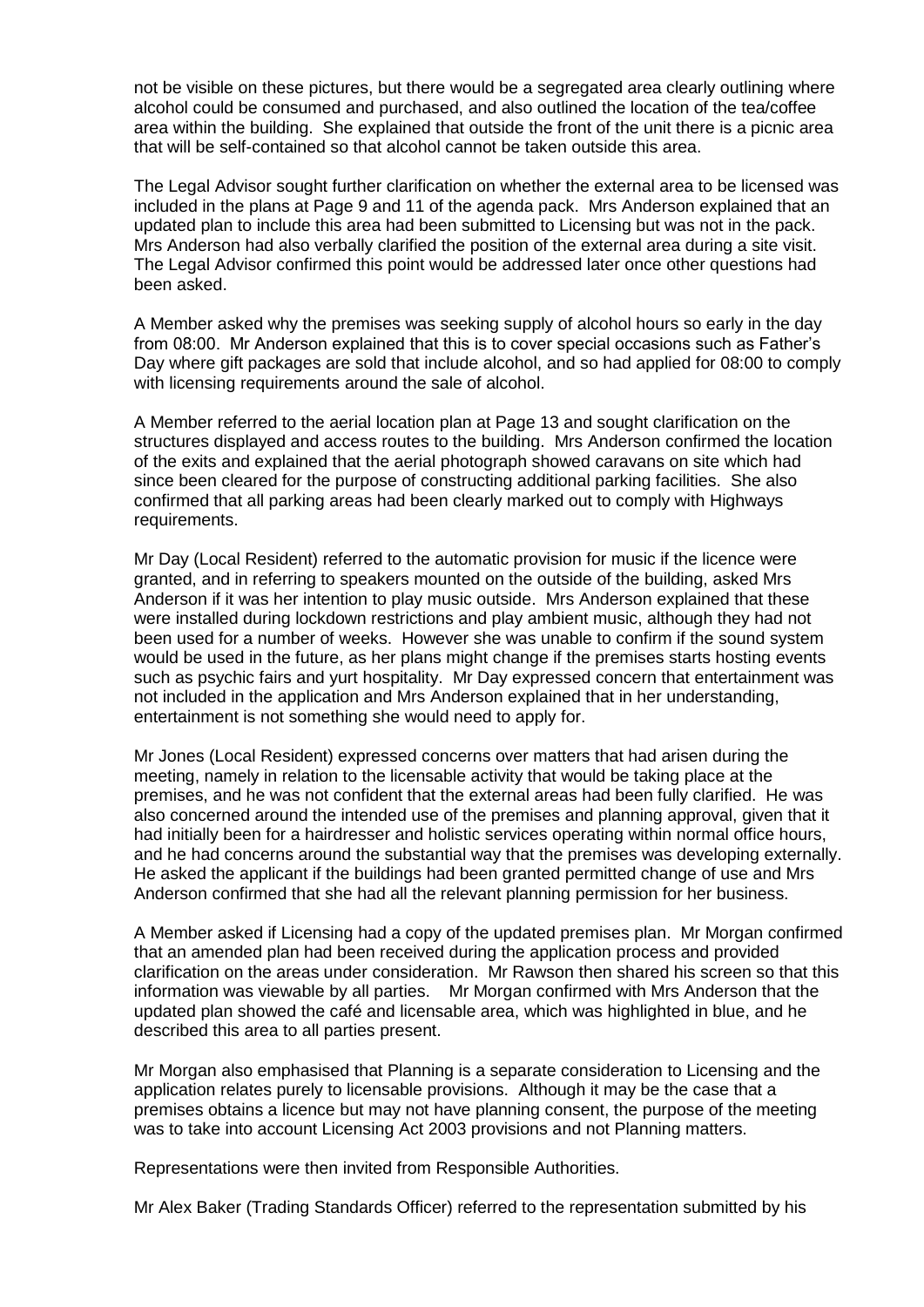not be visible on these pictures, but there would be a segregated area clearly outlining where alcohol could be consumed and purchased, and also outlined the location of the tea/coffee area within the building. She explained that outside the front of the unit there is a picnic area that will be self-contained so that alcohol cannot be taken outside this area.

The Legal Advisor sought further clarification on whether the external area to be licensed was included in the plans at Page 9 and 11 of the agenda pack. Mrs Anderson explained that an updated plan to include this area had been submitted to Licensing but was not in the pack. Mrs Anderson had also verbally clarified the position of the external area during a site visit. The Legal Advisor confirmed this point would be addressed later once other questions had been asked.

A Member asked why the premises was seeking supply of alcohol hours so early in the day from 08:00. Mr Anderson explained that this is to cover special occasions such as Father's Day where gift packages are sold that include alcohol, and so had applied for 08:00 to comply with licensing requirements around the sale of alcohol.

A Member referred to the aerial location plan at Page 13 and sought clarification on the structures displayed and access routes to the building. Mrs Anderson confirmed the location of the exits and explained that the aerial photograph showed caravans on site which had since been cleared for the purpose of constructing additional parking facilities. She also confirmed that all parking areas had been clearly marked out to comply with Highways requirements.

Mr Day (Local Resident) referred to the automatic provision for music if the licence were granted, and in referring to speakers mounted on the outside of the building, asked Mrs Anderson if it was her intention to play music outside. Mrs Anderson explained that these were installed during lockdown restrictions and play ambient music, although they had not been used for a number of weeks. However she was unable to confirm if the sound system would be used in the future, as her plans might change if the premises starts hosting events such as psychic fairs and yurt hospitality. Mr Day expressed concern that entertainment was not included in the application and Mrs Anderson explained that in her understanding, entertainment is not something she would need to apply for.

Mr Jones (Local Resident) expressed concerns over matters that had arisen during the meeting, namely in relation to the licensable activity that would be taking place at the premises, and he was not confident that the external areas had been fully clarified. He was also concerned around the intended use of the premises and planning approval, given that it had initially been for a hairdresser and holistic services operating within normal office hours, and he had concerns around the substantial way that the premises was developing externally. He asked the applicant if the buildings had been granted permitted change of use and Mrs Anderson confirmed that she had all the relevant planning permission for her business.

A Member asked if Licensing had a copy of the updated premises plan. Mr Morgan confirmed that an amended plan had been received during the application process and provided clarification on the areas under consideration. Mr Rawson then shared his screen so that this information was viewable by all parties. Mr Morgan confirmed with Mrs Anderson that the updated plan showed the café and licensable area, which was highlighted in blue, and he described this area to all parties present.

Mr Morgan also emphasised that Planning is a separate consideration to Licensing and the application relates purely to licensable provisions. Although it may be the case that a premises obtains a licence but may not have planning consent, the purpose of the meeting was to take into account Licensing Act 2003 provisions and not Planning matters.

Representations were then invited from Responsible Authorities.

Mr Alex Baker (Trading Standards Officer) referred to the representation submitted by his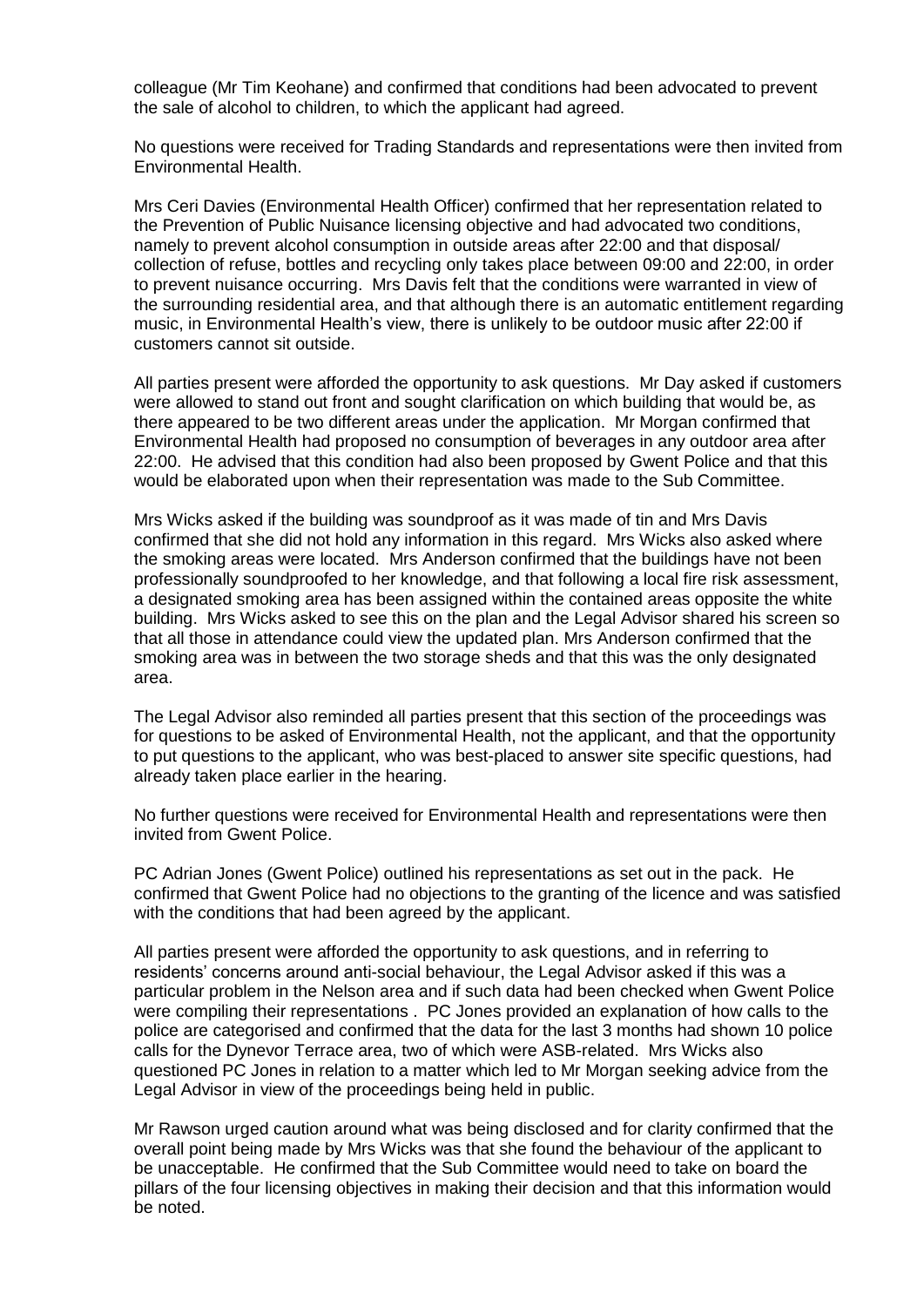colleague (Mr Tim Keohane) and confirmed that conditions had been advocated to prevent the sale of alcohol to children, to which the applicant had agreed.

No questions were received for Trading Standards and representations were then invited from Environmental Health.

Mrs Ceri Davies (Environmental Health Officer) confirmed that her representation related to the Prevention of Public Nuisance licensing objective and had advocated two conditions, namely to prevent alcohol consumption in outside areas after 22:00 and that disposal/ collection of refuse, bottles and recycling only takes place between 09:00 and 22:00, in order to prevent nuisance occurring. Mrs Davis felt that the conditions were warranted in view of the surrounding residential area, and that although there is an automatic entitlement regarding music, in Environmental Health's view, there is unlikely to be outdoor music after 22:00 if customers cannot sit outside.

All parties present were afforded the opportunity to ask questions. Mr Day asked if customers were allowed to stand out front and sought clarification on which building that would be, as there appeared to be two different areas under the application. Mr Morgan confirmed that Environmental Health had proposed no consumption of beverages in any outdoor area after 22:00. He advised that this condition had also been proposed by Gwent Police and that this would be elaborated upon when their representation was made to the Sub Committee.

Mrs Wicks asked if the building was soundproof as it was made of tin and Mrs Davis confirmed that she did not hold any information in this regard. Mrs Wicks also asked where the smoking areas were located. Mrs Anderson confirmed that the buildings have not been professionally soundproofed to her knowledge, and that following a local fire risk assessment, a designated smoking area has been assigned within the contained areas opposite the white building. Mrs Wicks asked to see this on the plan and the Legal Advisor shared his screen so that all those in attendance could view the updated plan. Mrs Anderson confirmed that the smoking area was in between the two storage sheds and that this was the only designated area.

The Legal Advisor also reminded all parties present that this section of the proceedings was for questions to be asked of Environmental Health, not the applicant, and that the opportunity to put questions to the applicant, who was best-placed to answer site specific questions, had already taken place earlier in the hearing.

No further questions were received for Environmental Health and representations were then invited from Gwent Police.

PC Adrian Jones (Gwent Police) outlined his representations as set out in the pack. He confirmed that Gwent Police had no objections to the granting of the licence and was satisfied with the conditions that had been agreed by the applicant.

All parties present were afforded the opportunity to ask questions, and in referring to residents' concerns around anti-social behaviour, the Legal Advisor asked if this was a particular problem in the Nelson area and if such data had been checked when Gwent Police were compiling their representations . PC Jones provided an explanation of how calls to the police are categorised and confirmed that the data for the last 3 months had shown 10 police calls for the Dynevor Terrace area, two of which were ASB-related. Mrs Wicks also questioned PC Jones in relation to a matter which led to Mr Morgan seeking advice from the Legal Advisor in view of the proceedings being held in public.

Mr Rawson urged caution around what was being disclosed and for clarity confirmed that the overall point being made by Mrs Wicks was that she found the behaviour of the applicant to be unacceptable. He confirmed that the Sub Committee would need to take on board the pillars of the four licensing objectives in making their decision and that this information would be noted.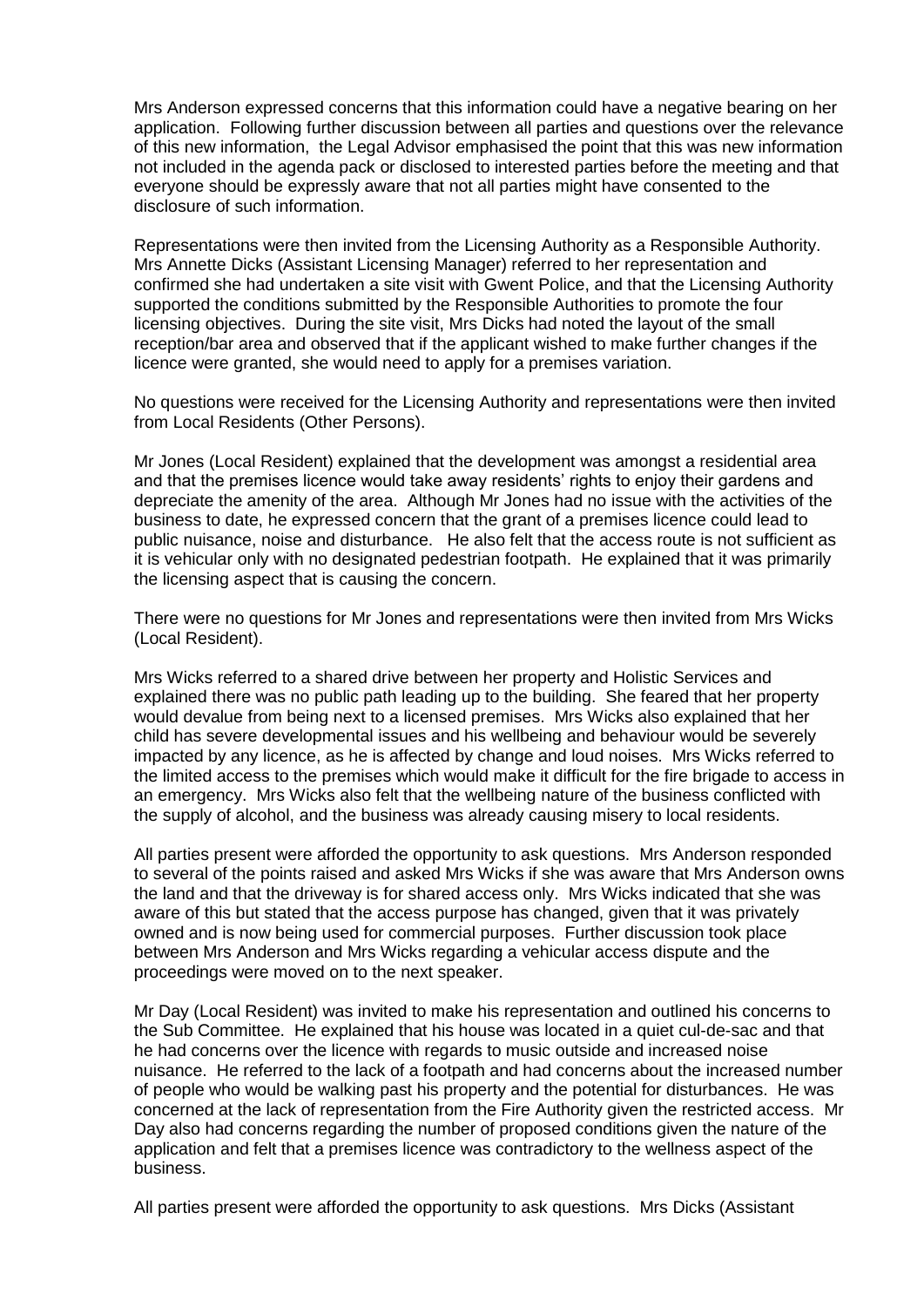Mrs Anderson expressed concerns that this information could have a negative bearing on her application. Following further discussion between all parties and questions over the relevance of this new information, the Legal Advisor emphasised the point that this was new information not included in the agenda pack or disclosed to interested parties before the meeting and that everyone should be expressly aware that not all parties might have consented to the disclosure of such information.

Representations were then invited from the Licensing Authority as a Responsible Authority. Mrs Annette Dicks (Assistant Licensing Manager) referred to her representation and confirmed she had undertaken a site visit with Gwent Police, and that the Licensing Authority supported the conditions submitted by the Responsible Authorities to promote the four licensing objectives. During the site visit, Mrs Dicks had noted the layout of the small reception/bar area and observed that if the applicant wished to make further changes if the licence were granted, she would need to apply for a premises variation.

No questions were received for the Licensing Authority and representations were then invited from Local Residents (Other Persons).

Mr Jones (Local Resident) explained that the development was amongst a residential area and that the premises licence would take away residents' rights to enjoy their gardens and depreciate the amenity of the area. Although Mr Jones had no issue with the activities of the business to date, he expressed concern that the grant of a premises licence could lead to public nuisance, noise and disturbance. He also felt that the access route is not sufficient as it is vehicular only with no designated pedestrian footpath. He explained that it was primarily the licensing aspect that is causing the concern.

There were no questions for Mr Jones and representations were then invited from Mrs Wicks (Local Resident).

Mrs Wicks referred to a shared drive between her property and Holistic Services and explained there was no public path leading up to the building. She feared that her property would devalue from being next to a licensed premises. Mrs Wicks also explained that her child has severe developmental issues and his wellbeing and behaviour would be severely impacted by any licence, as he is affected by change and loud noises. Mrs Wicks referred to the limited access to the premises which would make it difficult for the fire brigade to access in an emergency. Mrs Wicks also felt that the wellbeing nature of the business conflicted with the supply of alcohol, and the business was already causing misery to local residents.

All parties present were afforded the opportunity to ask questions. Mrs Anderson responded to several of the points raised and asked Mrs Wicks if she was aware that Mrs Anderson owns the land and that the driveway is for shared access only. Mrs Wicks indicated that she was aware of this but stated that the access purpose has changed, given that it was privately owned and is now being used for commercial purposes. Further discussion took place between Mrs Anderson and Mrs Wicks regarding a vehicular access dispute and the proceedings were moved on to the next speaker.

Mr Day (Local Resident) was invited to make his representation and outlined his concerns to the Sub Committee. He explained that his house was located in a quiet cul-de-sac and that he had concerns over the licence with regards to music outside and increased noise nuisance. He referred to the lack of a footpath and had concerns about the increased number of people who would be walking past his property and the potential for disturbances. He was concerned at the lack of representation from the Fire Authority given the restricted access. Mr Day also had concerns regarding the number of proposed conditions given the nature of the application and felt that a premises licence was contradictory to the wellness aspect of the business.

All parties present were afforded the opportunity to ask questions. Mrs Dicks (Assistant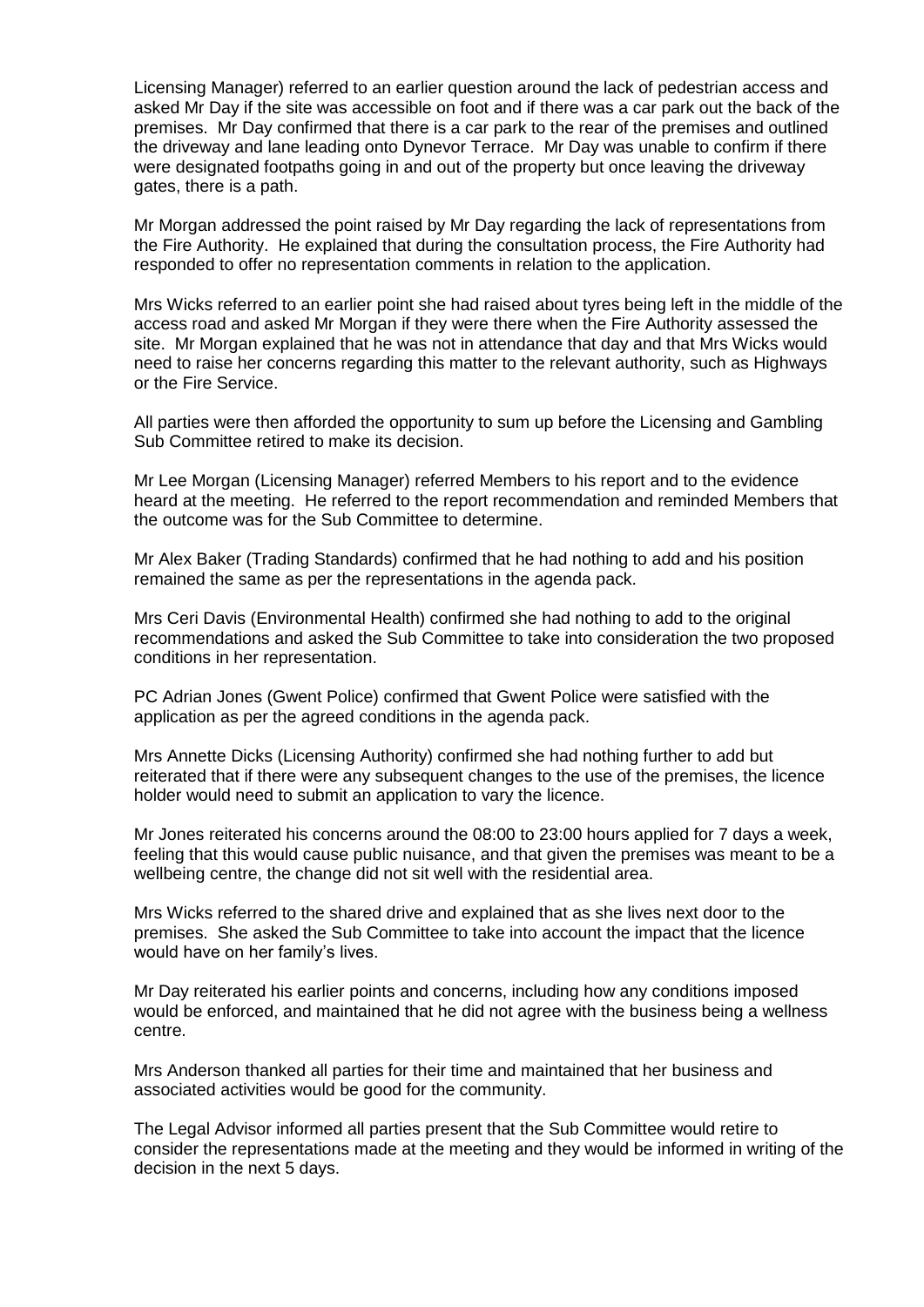Licensing Manager) referred to an earlier question around the lack of pedestrian access and asked Mr Day if the site was accessible on foot and if there was a car park out the back of the premises. Mr Day confirmed that there is a car park to the rear of the premises and outlined the driveway and lane leading onto Dynevor Terrace. Mr Day was unable to confirm if there were designated footpaths going in and out of the property but once leaving the driveway gates, there is a path.

Mr Morgan addressed the point raised by Mr Day regarding the lack of representations from the Fire Authority. He explained that during the consultation process, the Fire Authority had responded to offer no representation comments in relation to the application.

Mrs Wicks referred to an earlier point she had raised about tyres being left in the middle of the access road and asked Mr Morgan if they were there when the Fire Authority assessed the site. Mr Morgan explained that he was not in attendance that day and that Mrs Wicks would need to raise her concerns regarding this matter to the relevant authority, such as Highways or the Fire Service.

All parties were then afforded the opportunity to sum up before the Licensing and Gambling Sub Committee retired to make its decision.

Mr Lee Morgan (Licensing Manager) referred Members to his report and to the evidence heard at the meeting. He referred to the report recommendation and reminded Members that the outcome was for the Sub Committee to determine.

Mr Alex Baker (Trading Standards) confirmed that he had nothing to add and his position remained the same as per the representations in the agenda pack.

Mrs Ceri Davis (Environmental Health) confirmed she had nothing to add to the original recommendations and asked the Sub Committee to take into consideration the two proposed conditions in her representation.

PC Adrian Jones (Gwent Police) confirmed that Gwent Police were satisfied with the application as per the agreed conditions in the agenda pack.

Mrs Annette Dicks (Licensing Authority) confirmed she had nothing further to add but reiterated that if there were any subsequent changes to the use of the premises, the licence holder would need to submit an application to vary the licence.

Mr Jones reiterated his concerns around the 08:00 to 23:00 hours applied for 7 days a week, feeling that this would cause public nuisance, and that given the premises was meant to be a wellbeing centre, the change did not sit well with the residential area.

Mrs Wicks referred to the shared drive and explained that as she lives next door to the premises. She asked the Sub Committee to take into account the impact that the licence would have on her family's lives.

Mr Day reiterated his earlier points and concerns, including how any conditions imposed would be enforced, and maintained that he did not agree with the business being a wellness centre.

Mrs Anderson thanked all parties for their time and maintained that her business and associated activities would be good for the community.

The Legal Advisor informed all parties present that the Sub Committee would retire to consider the representations made at the meeting and they would be informed in writing of the decision in the next 5 days.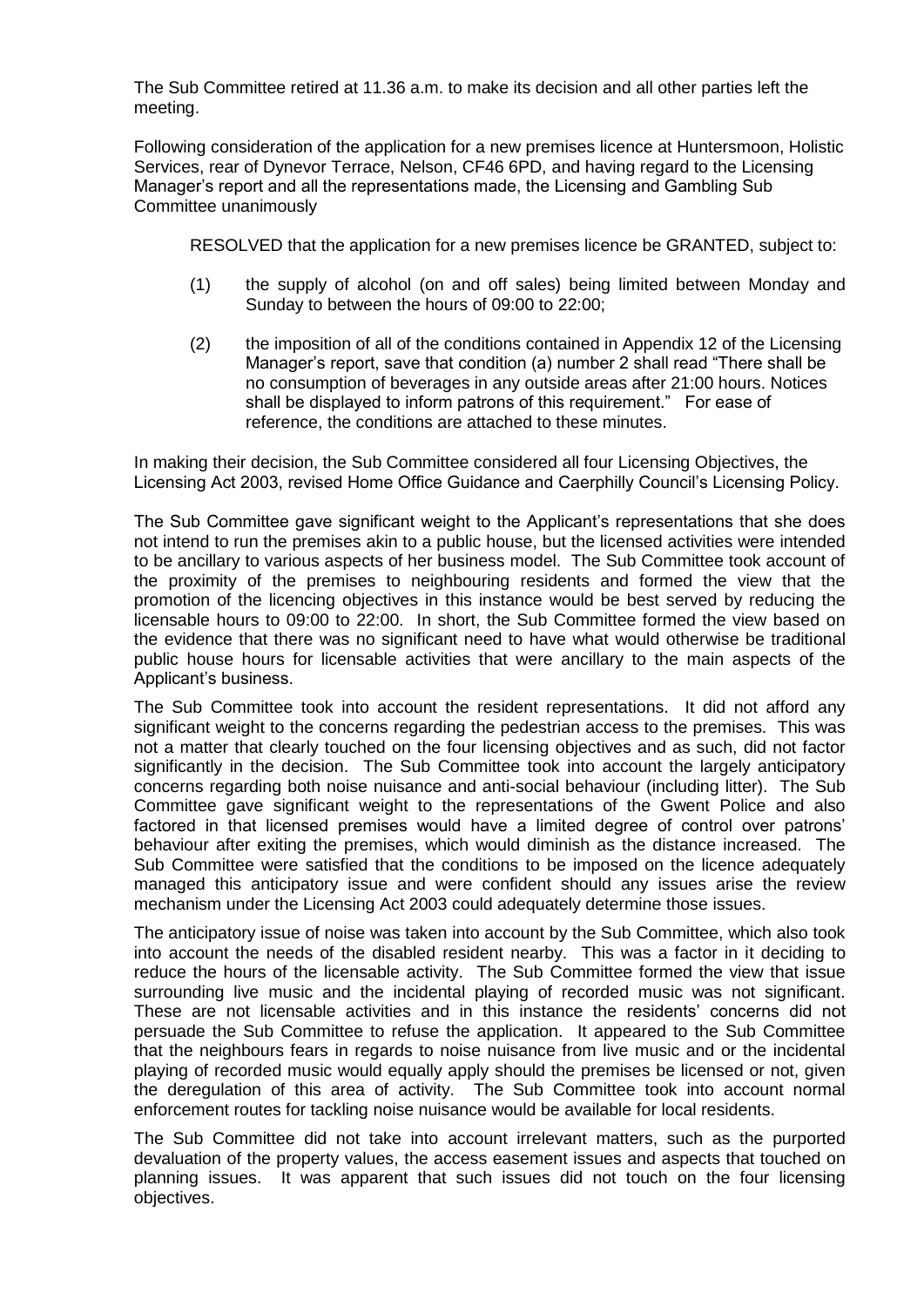The Sub Committee retired at 11.36 a.m. to make its decision and all other parties left the meeting.

Following consideration of the application for a new premises licence at Huntersmoon, Holistic Services, rear of Dynevor Terrace, Nelson, CF46 6PD, and having regard to the Licensing Manager's report and all the representations made, the Licensing and Gambling Sub Committee unanimously

RESOLVED that the application for a new premises licence be GRANTED, subject to:

- (1) the supply of alcohol (on and off sales) being limited between Monday and Sunday to between the hours of 09:00 to 22:00;
- (2) the imposition of all of the conditions contained in Appendix 12 of the Licensing Manager's report, save that condition (a) number 2 shall read "There shall be no consumption of beverages in any outside areas after 21:00 hours. Notices shall be displayed to inform patrons of this requirement." For ease of reference, the conditions are attached to these minutes.

In making their decision, the Sub Committee considered all four Licensing Objectives, the Licensing Act 2003, revised Home Office Guidance and Caerphilly Council's Licensing Policy.

The Sub Committee gave significant weight to the Applicant's representations that she does not intend to run the premises akin to a public house, but the licensed activities were intended to be ancillary to various aspects of her business model. The Sub Committee took account of the proximity of the premises to neighbouring residents and formed the view that the promotion of the licencing objectives in this instance would be best served by reducing the licensable hours to 09:00 to 22:00. In short, the Sub Committee formed the view based on the evidence that there was no significant need to have what would otherwise be traditional public house hours for licensable activities that were ancillary to the main aspects of the Applicant's business.

The Sub Committee took into account the resident representations. It did not afford any significant weight to the concerns regarding the pedestrian access to the premises. This was not a matter that clearly touched on the four licensing objectives and as such, did not factor significantly in the decision. The Sub Committee took into account the largely anticipatory concerns regarding both noise nuisance and anti-social behaviour (including litter). The Sub Committee gave significant weight to the representations of the Gwent Police and also factored in that licensed premises would have a limited degree of control over patrons' behaviour after exiting the premises, which would diminish as the distance increased. The Sub Committee were satisfied that the conditions to be imposed on the licence adequately managed this anticipatory issue and were confident should any issues arise the review mechanism under the Licensing Act 2003 could adequately determine those issues.

The anticipatory issue of noise was taken into account by the Sub Committee, which also took into account the needs of the disabled resident nearby. This was a factor in it deciding to reduce the hours of the licensable activity. The Sub Committee formed the view that issue surrounding live music and the incidental playing of recorded music was not significant. These are not licensable activities and in this instance the residents' concerns did not persuade the Sub Committee to refuse the application. It appeared to the Sub Committee that the neighbours fears in regards to noise nuisance from live music and or the incidental playing of recorded music would equally apply should the premises be licensed or not, given the deregulation of this area of activity. The Sub Committee took into account normal enforcement routes for tackling noise nuisance would be available for local residents.

The Sub Committee did not take into account irrelevant matters, such as the purported devaluation of the property values, the access easement issues and aspects that touched on planning issues. It was apparent that such issues did not touch on the four licensing objectives.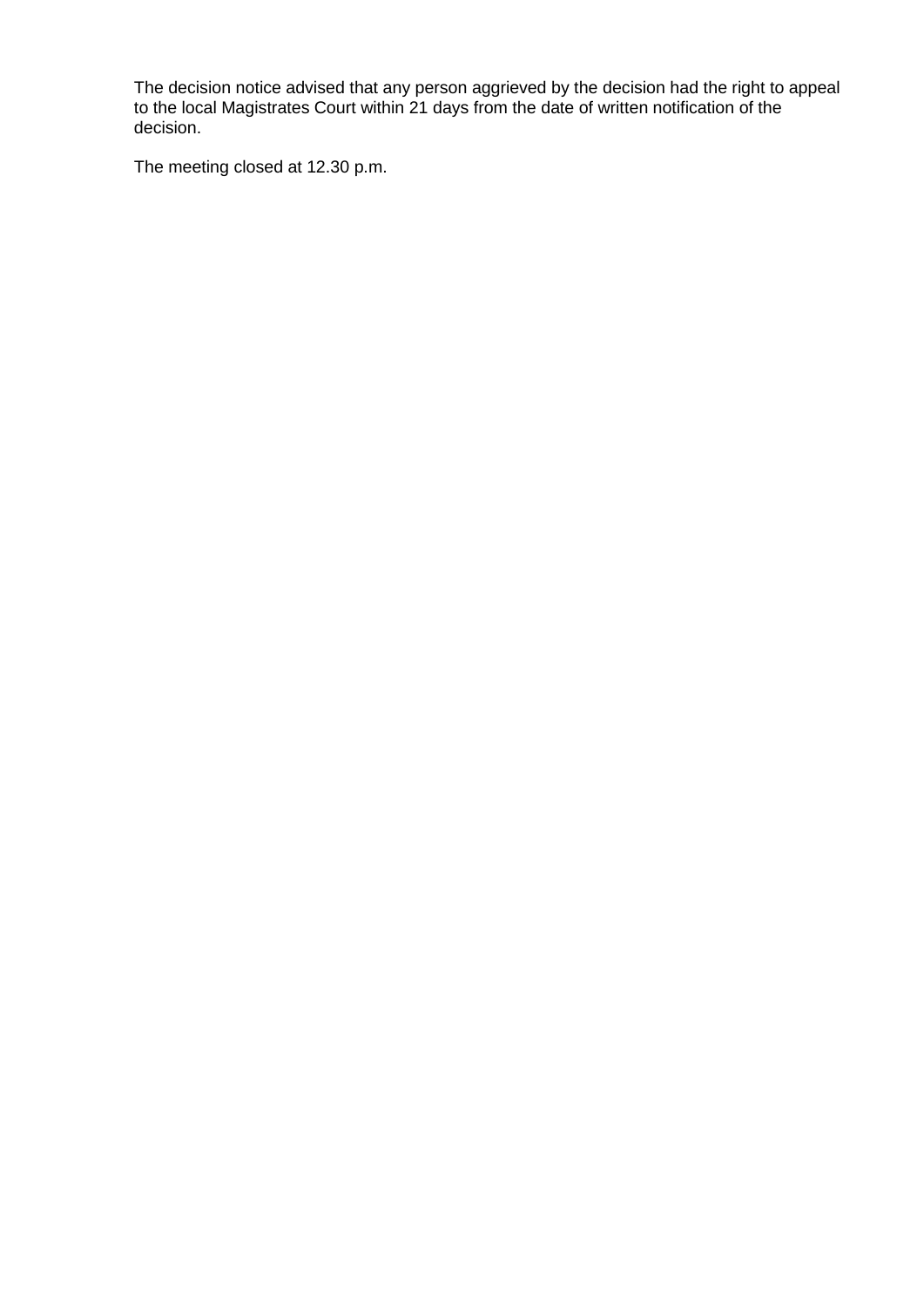The decision notice advised that any person aggrieved by the decision had the right to appeal to the local Magistrates Court within 21 days from the date of written notification of the decision.

The meeting closed at 12.30 p.m.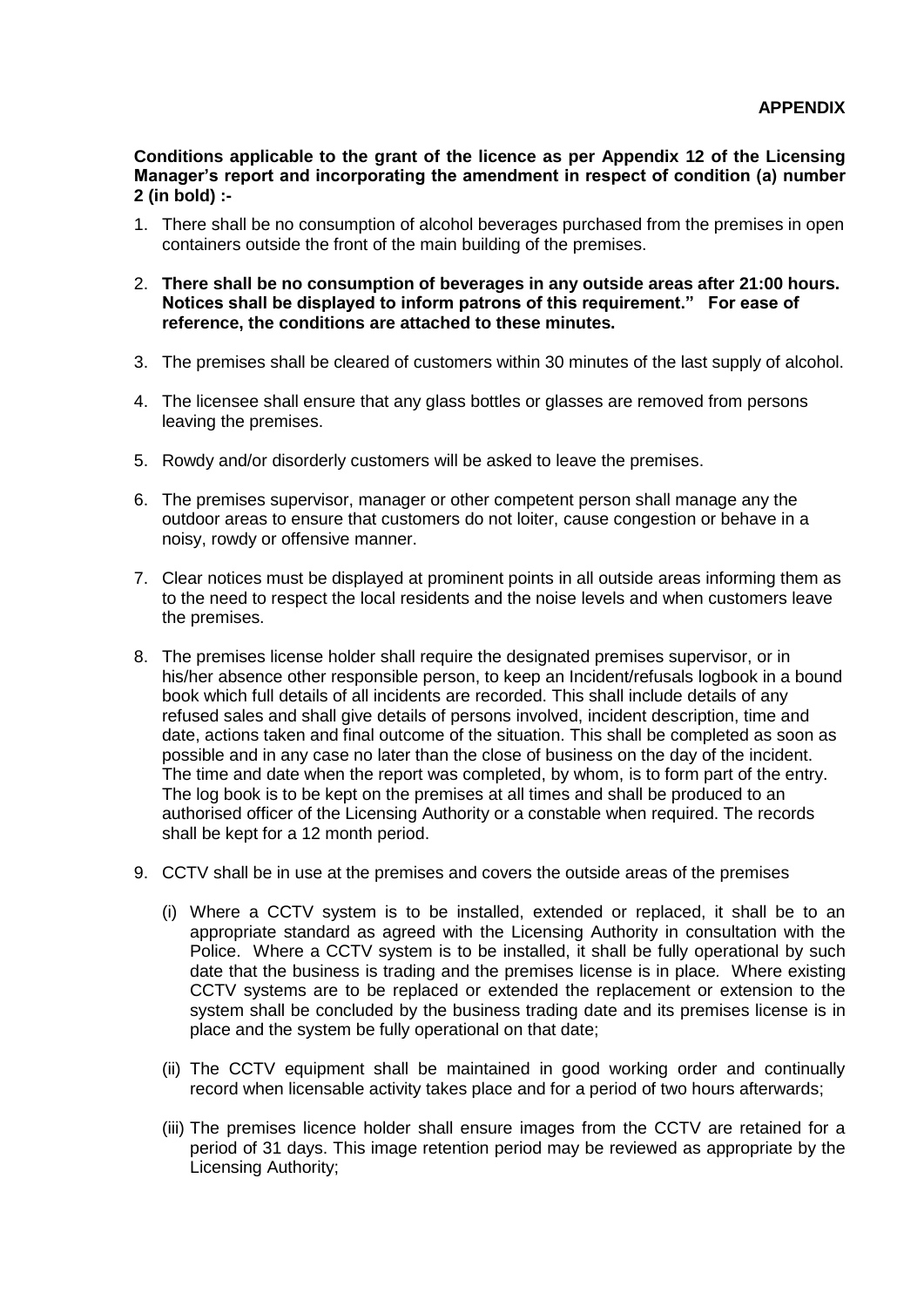**Conditions applicable to the grant of the licence as per Appendix 12 of the Licensing Manager's report and incorporating the amendment in respect of condition (a) number 2 (in bold) :-**

- 1. There shall be no consumption of alcohol beverages purchased from the premises in open containers outside the front of the main building of the premises.
- 2. **There shall be no consumption of beverages in any outside areas after 21:00 hours. Notices shall be displayed to inform patrons of this requirement." For ease of reference, the conditions are attached to these minutes.**
- 3. The premises shall be cleared of customers within 30 minutes of the last supply of alcohol.
- 4. The licensee shall ensure that any glass bottles or glasses are removed from persons leaving the premises.
- 5. Rowdy and/or disorderly customers will be asked to leave the premises.
- 6. The premises supervisor, manager or other competent person shall manage any the outdoor areas to ensure that customers do not loiter, cause congestion or behave in a noisy, rowdy or offensive manner.
- 7. Clear notices must be displayed at prominent points in all outside areas informing them as to the need to respect the local residents and the noise levels and when customers leave the premises.
- 8. The premises license holder shall require the designated premises supervisor, or in his/her absence other responsible person, to keep an Incident/refusals logbook in a bound book which full details of all incidents are recorded. This shall include details of any refused sales and shall give details of persons involved, incident description, time and date, actions taken and final outcome of the situation. This shall be completed as soon as possible and in any case no later than the close of business on the day of the incident. The time and date when the report was completed, by whom, is to form part of the entry. The log book is to be kept on the premises at all times and shall be produced to an authorised officer of the Licensing Authority or a constable when required. The records shall be kept for a 12 month period.
- 9. CCTV shall be in use at the premises and covers the outside areas of the premises
	- (i) Where a CCTV system is to be installed, extended or replaced, it shall be to an appropriate standard as agreed with the Licensing Authority in consultation with the Police. Where a CCTV system is to be installed, it shall be fully operational by such date that the business is trading and the premises license is in place*.* Where existing CCTV systems are to be replaced or extended the replacement or extension to the system shall be concluded by the business trading date and its premises license is in place and the system be fully operational on that date;
	- (ii) The CCTV equipment shall be maintained in good working order and continually record when licensable activity takes place and for a period of two hours afterwards;
	- (iii) The premises licence holder shall ensure images from the CCTV are retained for a period of 31 days. This image retention period may be reviewed as appropriate by the Licensing Authority;